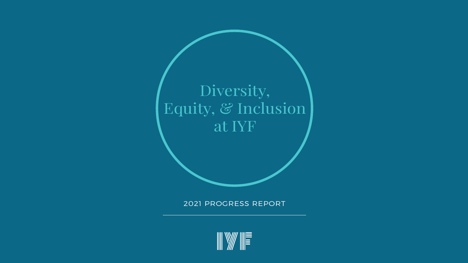#### 2021 PROGRESS REPORT

# Diversity, Equity, & Inclusion at IYF

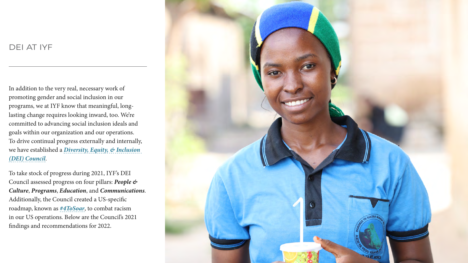### DEI AT IYF

In addition to the very real, necessary work of promoting gender and social inclusion in our programs, we at IYF know that meaningful, longlasting change requires looking inward, too. We're committed to advancing social inclusion ideals and goals within our organization and our operations. To drive continual progress externally and internally, we have established a *[Diversity, Equity, & Inclusion](https://iyfglobal.org/diversity-equity-and-inclusion)  [\(DEI\) Council](https://iyfglobal.org/diversity-equity-and-inclusion)*.

To take stock of progress during 2021, IYF's DEI Council assessed progress on four pillars: *People & Culture*, *Programs*, *Education*, and *Communications*. Additionally, the Council created a US-specific roadmap, known as *[#4ToSoar](https://iyfglobal.org/blog/iyf-stands-dismantling-systemic-racism-starting-us)*, to combat racism in our US operations. Below are the Council's 2021 findings and recommendations for 2022.

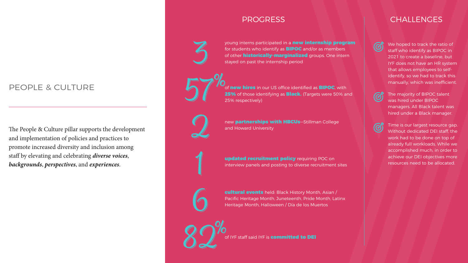### PEOPLE & CULTURE

The People & Culture pillar supports the development and implementation of policies and practices to promote increased diversity and inclusion among staff by elevating and celebrating *diverse voices*, *backgrounds*, *perspectives*, and *experiences*.

young interns participated in a new internship program for students who identify as **BIPOC** and/or as members of other **historically-marginalized** groups. One intern stayed on past the internship period

of **new hires** in our US office identified as **BIPOC**, with 25% of those identifying as **Black.** (Targets were 50% and 25% respectively)

cultural events held: Black History Month, Asian / Pacific Heritage Month, Juneteenth, Pride Month, Latinx Heritage Month, Halloween / Día de los Muertos

of IYF staff said IYF is **committed to DEI** 

### PROGRESS I CHALLENGES



new **partnerships with HBCUs**—Stillman College and Howard University

We hoped to track the ratio of staff who identify as BIPOC in 2021 to create a baseline, but IYF does not have an HR system that allows employees to selfidentify, so we had to track this manually, which was inefficient.



updated recruitment policy requiring POC on interview panels and posting to diverse recruitment sites

The majority of BIPOC talent was hired under BIPOC managers. All Black talent was hired under a Black manager.



Time is our largest resource gap. Without dedicated DEI staff, the work had to be done on top of already full workloads. While we accomplished much, in order to achieve our DEI objectives more resources need to be allocated.

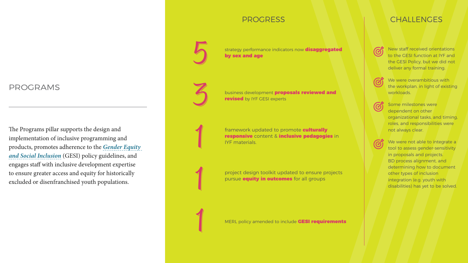#### PROGRAMS

The Programs pillar supports the design and implementation of inclusive programming and products, promotes adherence to the *[Gender Equity](https://iyfglobal.org/gender-equity-social-inclusion)  [and Social Inclusion](https://iyfglobal.org/gender-equity-social-inclusion)* (GESI) policy guidelines, and engages staff with inclusive development expertise to ensure greater access and equity for historically excluded or disenfranchised youth populations.

strategy performance indicators now **disaggregated** by sex and age

business development **proposals reviewed and** revised by IYF GESI experts

We were overambitious with the workplan, in light of existing workloads.





project design toolkit updated to ensure projects pursue **equity in outcomes** for all groups

New staff received orientations to the GESI function at IYF and the GESI Policy, but we did not deliver any formal training.

MERL policy amended to include **GESI requirements** 



### PROGRESS EXAMPLE THE CHALLENGES

framework updated to promote culturally responsive content & inclusive pedagogies in IYF materials.

Some milestones were dependent on other organizational tasks, and timing, roles, and responsibilities were not always clear.

 $\bm{C}$ 

We were not able to integrate a tool to assess gender-sensitivity in proposals and projects. BD process alignment, and determining how to document other types of inclusion integration (e.g. youth with disabilities) has yet to be solved.

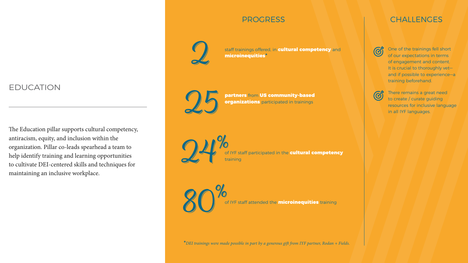#### EDUCATION

The Education pillar supports cultural competency, antiracism, equity, and inclusion within the organization. Pillar co-leads spearhead a team to help identify training and learning opportunities to cultivate DEI-centered skills and techniques for maintaining an inclusive workplace.

staff trainings offered, in cultural competency and microinequities\*

organizations participated in trainings

of IYF staff participated in the cultural competency training

of IYF staff attended the **microinequities** training

### PROGRESS THE CHALLENGES

 $\bigcirc$ 

One of the trainings fell short of our expectations in terms of engagement and content. It is crucial to thoroughly vet and if possible to experience—a training beforehand.



There remains a great need to create / curate guiding resources for inclusive language in all IYF languages.



\**DEI trainings were made possible in part by a generous gift from IYF partner, Rodan + Fields.*

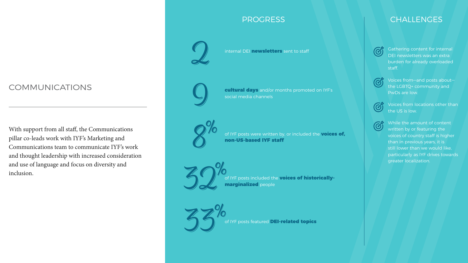### COMMUNICATIONS

With support from all staff, the Communications pillar co-leads work with IYF's Marketing and Communications team to communicate IYF's work and thought leadership with increased consideration and use of language and focus on diversity and inclusion.

internal DEI newsletters sent to staff  $\overline{G}$  Gathering content for internal DEI newsletters was an extra burden for already overloaded staff.





of IYF posts included the voices of historicallymarginalized people

of IYF posts featured DEI-related topics

#### PROGRESS THE RESERVICE OF THE RESERVE OF THE RESERVE OF THE RESERVE OF THE RESERVE OF THE RESERVE OF THE RESERVE

cultural days and/or months promoted on IYF's social media channels

Voices from—and posts about the LGBTQ+ community and PwDs are low.



of IYF posts were written by, or included the voices of, non-US-based IYF staff

Voices from locations other than the US is low.



While the amount of content written by or featuring the voices of country staff is higher than in previous years, it is still lower than we would like, particularly as IYF drives towards greater localization.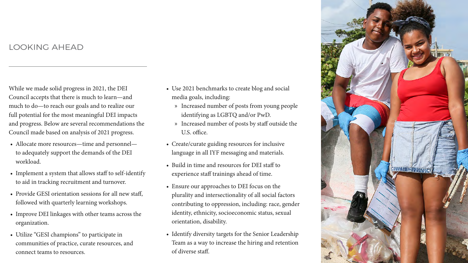### LOOKING AHEAD

While we made solid progress in 2021, the DEI Council accepts that there is much to learn—and much to do—to reach our goals and to realize our full potential for the most meaningful DEI impacts and progress. Below are several recommendations the Council made based on analysis of 2021 progress.

- Use 2021 benchmarks to create blog and social media goals, including:
	- » Increased number of posts from young people identifying as LGBTQ and/or PwD.
	- U.S. office.
- Create/curate guiding resources for inclusive language in all IYF messaging and materials.
- Build in time and resources for DEI staff to experience staff trainings ahead of time.
- Ensure our approaches to DEI focus on the plurality and intersectionality of all social factors contributing to oppression, including: race, gender identity, ethnicity, socioeconomic status, sexual orientation, disability.
- Identify diversity targets for the Senior Leadership Team as a way to increase the hiring and retention of diverse staff.
- Allocate more resources—time and personnel to adequately support the demands of the DEI workload.
- Implement a system that allows staff to self-identify to aid in tracking recruitment and turnover.
- Provide GESI orientation sessions for all new staff, followed with quarterly learning workshops.
- Improve DEI linkages with other teams across the organization.
- Utilize "GESI champions" to participate in communities of practice, curate resources, and connect teams to resources.

» Increased number of posts by staff outside the